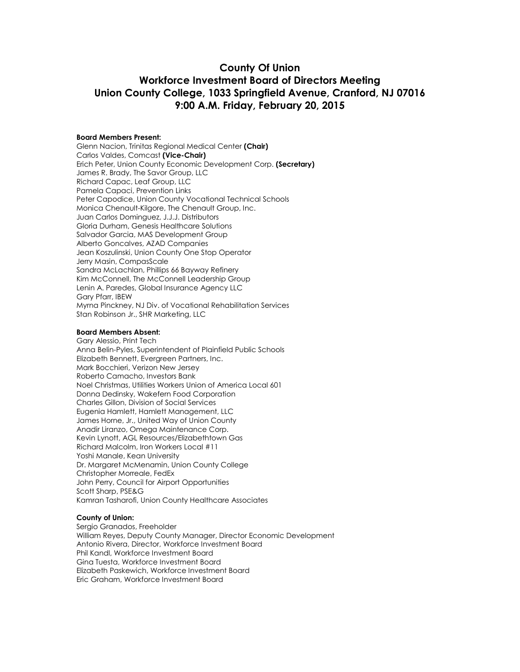#### **County Of Union Workforce Investment Board of Directors Meeting Union County College, 1033 Springfield Avenue, Cranford, NJ 07016 9:00 A.M. Friday, February 20, 2015**

#### **Board Members Present:**

Glenn Nacion, Trinitas Regional Medical Center **(Chair)** Carlos Valdes, Comcast **(Vice-Chair)** Erich Peter, Union County Economic Development Corp. **(Secretary)** James R. Brady, The Savor Group, LLC Richard Capac, Leaf Group, LLC Pamela Capaci, Prevention Links Peter Capodice, Union County Vocational Technical Schools Monica Chenault-Kilgore, The Chenault Group, Inc. Juan Carlos Dominguez, J.J.J. Distributors Gloria Durham, Genesis Healthcare Solutions Salvador Garcia, MAS Development Group Alberto Goncalves, AZAD Companies Jean Koszulinski, Union County One Stop Operator Jerry Masin, CompasScale Sandra McLachlan, Phillips 66 Bayway Refinery Kim McConnell, The McConnell Leadership Group Lenin A. Paredes, Global Insurance Agency LLC Gary Pfarr, IBEW Myrna Pinckney, NJ Div. of Vocational Rehabilitation Services Stan Robinson Jr., SHR Marketing, LLC

#### **Board Members Absent:**

Gary Alessio, Print Tech Anna Belin-Pyles, Superintendent of Plainfield Public Schools Elizabeth Bennett, Evergreen Partners, Inc. Mark Bocchieri, Verizon New Jersey Roberto Camacho, Investors Bank Noel Christmas, Utilities Workers Union of America Local 601 Donna Dedinsky, Wakefern Food Corporation Charles Gillon, Division of Social Services Eugenia Hamlett, Hamlett Management, LLC James Horne, Jr., United Way of Union County Anadir Liranzo, Omega Maintenance Corp. Kevin Lynott, AGL Resources/Elizabethtown Gas Richard Malcolm, Iron Workers Local #11 Yoshi Manale, Kean University Dr. Margaret McMenamin, Union County College Christopher Morreale, FedEx John Perry, Council for Airport Opportunities Scott Sharp, PSE&G Kamran Tasharofi, Union County Healthcare Associates

#### **County of Union:**

Sergio Granados, Freeholder William Reyes, Deputy County Manager, Director Economic Development Antonio Rivera, Director, Workforce Investment Board Phil Kandl, Workforce Investment Board Gina Tuesta, Workforce Investment Board Elizabeth Paskewich, Workforce Investment Board Eric Graham, Workforce Investment Board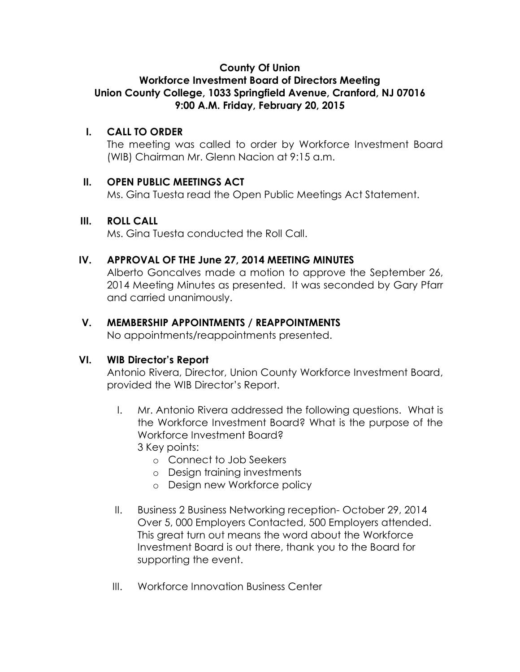## **County Of Union**

## **Workforce Investment Board of Directors Meeting Union County College, 1033 Springfield Avenue, Cranford, NJ 07016 9:00 A.M. Friday, February 20, 2015**

## **I. CALL TO ORDER**

The meeting was called to order by Workforce Investment Board (WIB) Chairman Mr. Glenn Nacion at 9:15 a.m.

#### **II. OPEN PUBLIC MEETINGS ACT**

Ms. Gina Tuesta read the Open Public Meetings Act Statement.

#### **III. ROLL CALL**

Ms. Gina Tuesta conducted the Roll Call.

## **IV. APPROVAL OF THE June 27, 2014 MEETING MINUTES**

Alberto Goncalves made a motion to approve the September 26, 2014 Meeting Minutes as presented. It was seconded by Gary Pfarr and carried unanimously.

#### **V. MEMBERSHIP APPOINTMENTS / REAPPOINTMENTS**

No appointments/reappointments presented.

## **VI. WIB Director's Report**

Antonio Rivera, Director, Union County Workforce Investment Board, provided the WIB Director's Report.

- I. Mr. Antonio Rivera addressed the following questions. What is the Workforce Investment Board? What is the purpose of the Workforce Investment Board? 3 Key points:
	- o Connect to Job Seekers
	- o Design training investments
	- o Design new Workforce policy
- II. Business 2 Business Networking reception- October 29, 2014 Over 5, 000 Employers Contacted, 500 Employers attended. This great turn out means the word about the Workforce Investment Board is out there, thank you to the Board for supporting the event.
- III. Workforce Innovation Business Center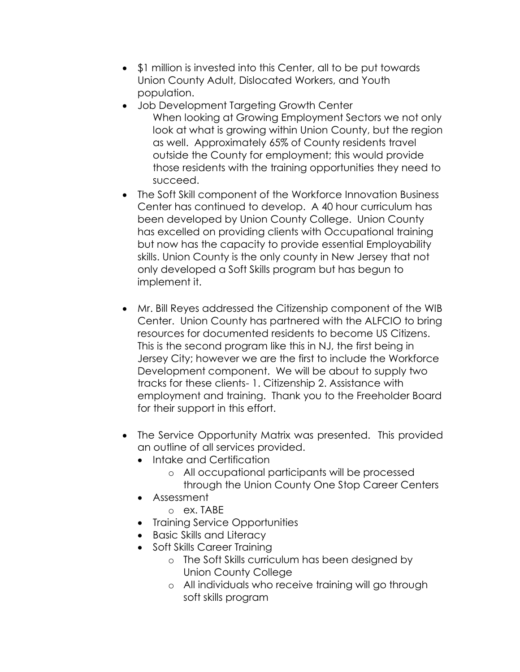- **\$1 million is invested into this Center, all to be put towards** Union County Adult, Dislocated Workers, and Youth population.
- Job Development Targeting Growth Center When looking at Growing Employment Sectors we not only look at what is growing within Union County, but the region as well. Approximately 65% of County residents travel outside the County for employment; this would provide those residents with the training opportunities they need to succeed.
- The Soft Skill component of the Workforce Innovation Business Center has continued to develop. A 40 hour curriculum has been developed by Union County College. Union County has excelled on providing clients with Occupational training but now has the capacity to provide essential Employability skills. Union County is the only county in New Jersey that not only developed a Soft Skills program but has begun to implement it.
- Mr. Bill Reyes addressed the Citizenship component of the WIB Center. Union County has partnered with the ALFCIO to bring resources for documented residents to become US Citizens. This is the second program like this in NJ, the first being in Jersey City; however we are the first to include the Workforce Development component. We will be about to supply two tracks for these clients- 1. Citizenship 2. Assistance with employment and training. Thank you to the Freeholder Board for their support in this effort.
- The Service Opportunity Matrix was presented. This provided an outline of all services provided.
	- Intake and Certification
		- o All occupational participants will be processed through the Union County One Stop Career Centers
	- Assessment
		- o ex. TABE
	- Training Service Opportunities
	- Basic Skills and Literacy
	- Soft Skills Career Training
		- o The Soft Skills curriculum has been designed by Union County College
		- o All individuals who receive training will go through soft skills program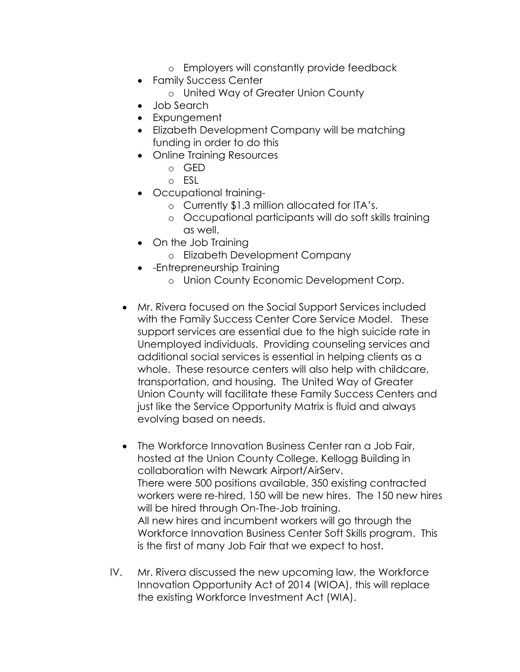- o Employers will constantly provide feedback
- Family Success Center
	- o United Way of Greater Union County
- Job Search
- Expungement
- Elizabeth Development Company will be matching funding in order to do this
- Online Training Resources
	- o GED
	- o ESL
- Occupational training
	- o Currently \$1.3 million allocated for ITA's.
	- o Occupational participants will do soft skills training as well.
- On the Job Training
	- o Elizabeth Development Company
- - Entrepreneurship Training
	- o Union County Economic Development Corp.
- Mr. Rivera focused on the Social Support Services included with the Family Success Center Core Service Model. These support services are essential due to the high suicide rate in Unemployed individuals. Providing counseling services and additional social services is essential in helping clients as a whole. These resource centers will also help with childcare, transportation, and housing. The United Way of Greater Union County will facilitate these Family Success Centers and just like the Service Opportunity Matrix is fluid and always evolving based on needs.
- The Workforce Innovation Business Center ran a Job Fair, hosted at the Union County College, Kellogg Building in collaboration with Newark Airport/AirServ. There were 500 positions available, 350 existing contracted workers were re-hired, 150 will be new hires. The 150 new hires will be hired through On-The-Job training. All new hires and incumbent workers will go through the Workforce Innovation Business Center Soft Skills program. This is the first of many Job Fair that we expect to host.
- IV. Mr. Rivera discussed the new upcoming law, the Workforce Innovation Opportunity Act of 2014 (WIOA), this will replace the existing Workforce Investment Act (WIA).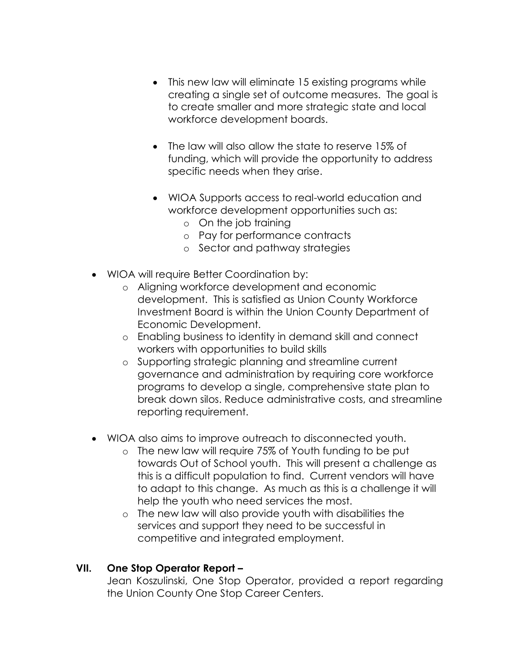- This new law will eliminate 15 existing programs while creating a single set of outcome measures. The goal is to create smaller and more strategic state and local workforce development boards.
- The law will also allow the state to reserve 15% of funding, which will provide the opportunity to address specific needs when they arise.
- WIOA Supports access to real-world education and workforce development opportunities such as:
	- o On the job training
	- o Pay for performance contracts
	- o Sector and pathway strategies
- WIOA will require Better Coordination by:
	- o Aligning workforce development and economic development. This is satisfied as Union County Workforce Investment Board is within the Union County Department of Economic Development.
	- o Enabling business to identity in demand skill and connect workers with opportunities to build skills
	- o Supporting strategic planning and streamline current governance and administration by requiring core workforce programs to develop a single, comprehensive state plan to break down silos. Reduce administrative costs, and streamline reporting requirement.
- WIOA also aims to improve outreach to disconnected youth.
	- o The new law will require 75% of Youth funding to be put towards Out of School youth. This will present a challenge as this is a difficult population to find. Current vendors will have to adapt to this change. As much as this is a challenge it will help the youth who need services the most.
	- o The new law will also provide youth with disabilities the services and support they need to be successful in competitive and integrated employment.

## **VII. One Stop Operator Report –**

Jean Koszulinski, One Stop Operator, provided a report regarding the Union County One Stop Career Centers.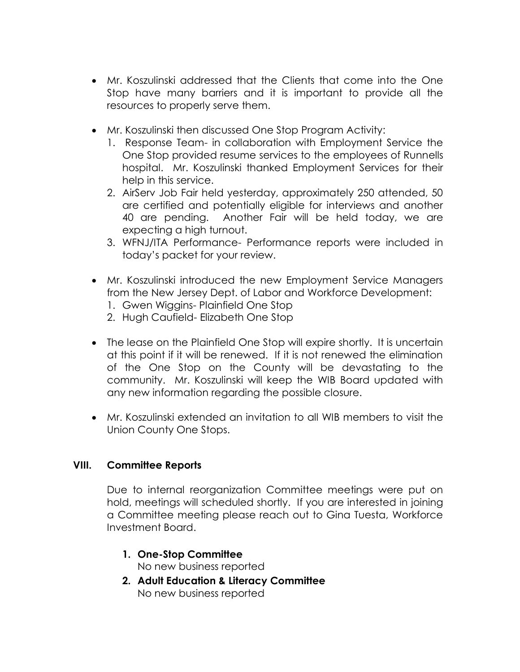- Mr. Koszulinski addressed that the Clients that come into the One Stop have many barriers and it is important to provide all the resources to properly serve them.
- Mr. Koszulinski then discussed One Stop Program Activity:
	- 1. Response Team- in collaboration with Employment Service the One Stop provided resume services to the employees of Runnells hospital. Mr. Koszulinski thanked Employment Services for their help in this service.
	- 2. AirServ Job Fair held yesterday, approximately 250 attended, 50 are certified and potentially eligible for interviews and another 40 are pending. Another Fair will be held today, we are expecting a high turnout.
	- 3. WFNJ/ITA Performance- Performance reports were included in today's packet for your review.
- Mr. Koszulinski introduced the new Employment Service Managers from the New Jersey Dept. of Labor and Workforce Development:
	- 1. Gwen Wiggins- Plainfield One Stop
	- 2. Hugh Caufield- Elizabeth One Stop
- The lease on the Plainfield One Stop will expire shortly. It is uncertain at this point if it will be renewed. If it is not renewed the elimination of the One Stop on the County will be devastating to the community. Mr. Koszulinski will keep the WIB Board updated with any new information regarding the possible closure.
- Mr. Koszulinski extended an invitation to all WIB members to visit the Union County One Stops.

## **VIII. Committee Reports**

Due to internal reorganization Committee meetings were put on hold, meetings will scheduled shortly. If you are interested in joining a Committee meeting please reach out to Gina Tuesta, Workforce Investment Board.

#### **1. One-Stop Committee** No new business reported

**2. Adult Education & Literacy Committee** No new business reported